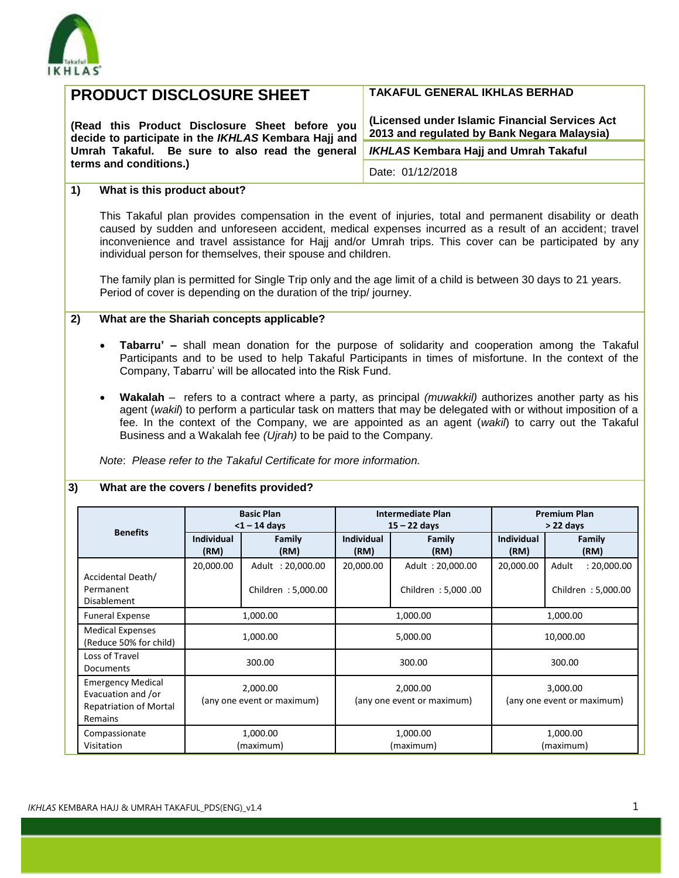

|                                                                                                             | <b>PRODUCT DISCLOSURE SHEET</b>                 |                                                                                                                          |                           |                                                                                                                                                                                                                                                                                                                                  | <b>TAKAFUL GENERAL IKHLAS BERHAD</b> |                                                    |  |  |
|-------------------------------------------------------------------------------------------------------------|-------------------------------------------------|--------------------------------------------------------------------------------------------------------------------------|---------------------------|----------------------------------------------------------------------------------------------------------------------------------------------------------------------------------------------------------------------------------------------------------------------------------------------------------------------------------|--------------------------------------|----------------------------------------------------|--|--|
| (Read this Product Disclosure Sheet before you<br>decide to participate in the IKHLAS Kembara Hajj and      |                                                 |                                                                                                                          |                           | (Licensed under Islamic Financial Services Act<br>2013 and regulated by Bank Negara Malaysia)                                                                                                                                                                                                                                    |                                      |                                                    |  |  |
|                                                                                                             | Umrah Takaful. Be sure to also read the general |                                                                                                                          |                           | <b>IKHLAS Kembara Hajj and Umrah Takaful</b>                                                                                                                                                                                                                                                                                     |                                      |                                                    |  |  |
| terms and conditions.)                                                                                      |                                                 |                                                                                                                          |                           | Date: 01/12/2018                                                                                                                                                                                                                                                                                                                 |                                      |                                                    |  |  |
| What is this product about?<br>1)                                                                           |                                                 |                                                                                                                          |                           |                                                                                                                                                                                                                                                                                                                                  |                                      |                                                    |  |  |
|                                                                                                             |                                                 | individual person for themselves, their spouse and children.                                                             |                           | This Takaful plan provides compensation in the event of injuries, total and permanent disability or death<br>caused by sudden and unforeseen accident, medical expenses incurred as a result of an accident; travel<br>inconvenience and travel assistance for Hajj and/or Umrah trips. This cover can be participated by any    |                                      |                                                    |  |  |
|                                                                                                             |                                                 | Period of cover is depending on the duration of the trip/journey.                                                        |                           | The family plan is permitted for Single Trip only and the age limit of a child is between 30 days to 21 years.                                                                                                                                                                                                                   |                                      |                                                    |  |  |
| 2)                                                                                                          |                                                 | What are the Shariah concepts applicable?                                                                                |                           |                                                                                                                                                                                                                                                                                                                                  |                                      |                                                    |  |  |
| Note: Please refer to the Takaful Certificate for more information.                                         |                                                 | Company, Tabarru' will be allocated into the Risk Fund.<br>Business and a Wakalah fee (Ujrah) to be paid to the Company. |                           | Wakalah – refers to a contract where a party, as principal <i>(muwakkil)</i> authorizes another party as his<br>agent (wakil) to perform a particular task on matters that may be delegated with or without imposition of a<br>fee. In the context of the Company, we are appointed as an agent (wakil) to carry out the Takaful |                                      |                                                    |  |  |
| What are the covers / benefits provided?<br>3)                                                              |                                                 |                                                                                                                          |                           |                                                                                                                                                                                                                                                                                                                                  |                                      |                                                    |  |  |
|                                                                                                             |                                                 | <b>Basic Plan</b>                                                                                                        |                           | <b>Intermediate Plan</b>                                                                                                                                                                                                                                                                                                         |                                      | <b>Premium Plan</b>                                |  |  |
| <b>Benefits</b>                                                                                             | Individual<br>(RM)                              | $<$ 1 - 14 days<br>Family<br>(RM)                                                                                        | <b>Individual</b><br>(RM) | $15 - 22$ days<br><b>Family</b><br>(RM)                                                                                                                                                                                                                                                                                          | <b>Individual</b><br>(RM)            | > 22 days<br>Family<br>(RM)                        |  |  |
| Accidental Death/<br>Permanent                                                                              | 20,000.00                                       | Adult: 20,000.00<br>Children: 5,000.00                                                                                   | 20,000.00                 | Adult: 20,000.00<br>Children: 5,000.00                                                                                                                                                                                                                                                                                           | 20,000.00                            | : 20,000.00<br>Adult<br>Children: 5,000.00         |  |  |
| <b>Disablement</b><br><b>Funeral Expense</b>                                                                |                                                 | 1,000.00                                                                                                                 |                           | 1,000.00                                                                                                                                                                                                                                                                                                                         |                                      | 1,000.00                                           |  |  |
| <b>Medical Expenses</b><br>(Reduce 50% for child)                                                           |                                                 | 1,000.00                                                                                                                 |                           | 5,000.00                                                                                                                                                                                                                                                                                                                         |                                      | 10,000.00                                          |  |  |
| Loss of Travel<br>Documents                                                                                 |                                                 | 300.00                                                                                                                   |                           | 300.00                                                                                                                                                                                                                                                                                                                           |                                      | 300.00                                             |  |  |
| <b>Emergency Medical</b><br>Evacuation and /or<br><b>Repatriation of Mortal</b><br>Remains<br>Compassionate |                                                 | 2,000.00<br>(any one event or maximum)<br>1,000.00                                                                       |                           | 2,000.00<br>(any one event or maximum)<br>1,000.00                                                                                                                                                                                                                                                                               |                                      | 3,000.00<br>(any one event or maximum)<br>1,000.00 |  |  |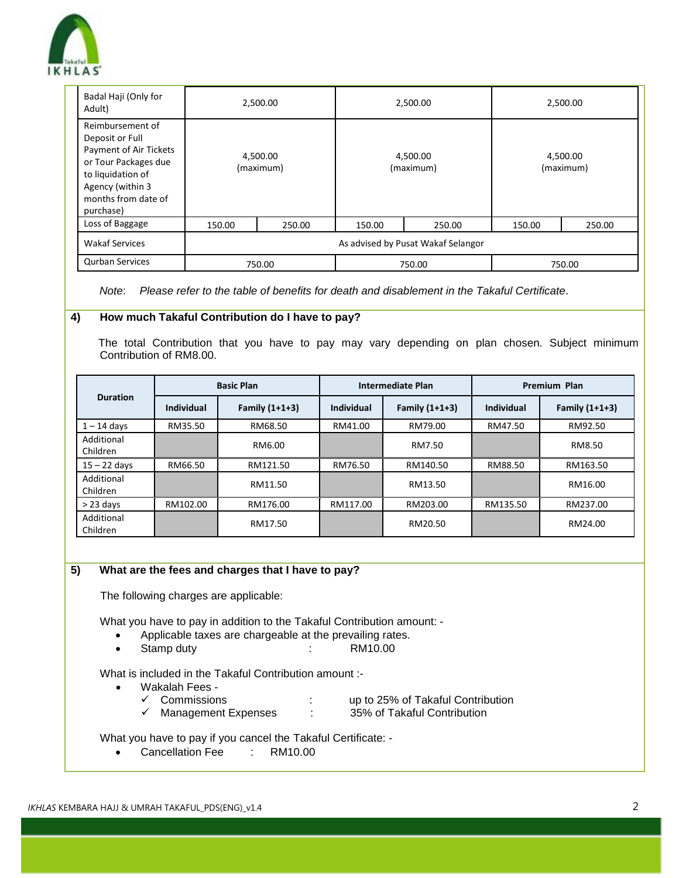

| Badal Haji (Only for<br>Adult)                                                                                                                                     | 2,500.00                           |        | 2,500.00              |        | 2,500.00              |        |
|--------------------------------------------------------------------------------------------------------------------------------------------------------------------|------------------------------------|--------|-----------------------|--------|-----------------------|--------|
| Reimbursement of<br>Deposit or Full<br>Payment of Air Tickets<br>or Tour Packages due<br>to liquidation of<br>Agency (within 3<br>months from date of<br>purchase) | 4,500.00<br>(maximum)              |        | 4,500.00<br>(maximum) |        | 4,500.00<br>(maximum) |        |
| Loss of Baggage                                                                                                                                                    | 150.00                             | 250.00 | 150.00                | 250.00 | 150.00                | 250.00 |
| <b>Wakaf Services</b>                                                                                                                                              | As advised by Pusat Wakaf Selangor |        |                       |        |                       |        |
| <b>Qurban Services</b>                                                                                                                                             | 750.00<br>750.00<br>750.00         |        |                       |        |                       |        |

*Note*: *Please refer to the table of benefits for death and disablement in the Takaful Certificate*.

### **4) How much Takaful Contribution do I have to pay?**

 The total Contribution that you have to pay may vary depending on plan chosen. Subject minimum Contribution of RM8.00.

| <b>Duration</b>        | <b>Basic Plan</b> |                  | <b>Intermediate Plan</b> |                  | Premium Plan |                |
|------------------------|-------------------|------------------|--------------------------|------------------|--------------|----------------|
|                        | <b>Individual</b> | Family $(1+1+3)$ | <b>Individual</b>        | Family $(1+1+3)$ | Individual   | Family (1+1+3) |
| $1 - 14$ days          | RM35.50           | RM68.50          | RM41.00                  | RM79.00          | RM47.50      | RM92.50        |
| Additional<br>Children |                   | RM6.00           |                          | RM7.50           |              | RM8.50         |
| $15 - 22$ days         | RM66.50           | RM121.50         | RM76.50                  | RM140.50         | RM88.50      | RM163.50       |
| Additional<br>Children |                   | RM11.50          |                          | RM13.50          |              | RM16.00        |
| $> 23$ days            | RM102.00          | RM176.00         | RM117.00                 | RM203.00         | RM135.50     | RM237.00       |
| Additional<br>Children |                   | RM17.50          |                          | RM20.50          |              | RM24.00        |

### **5) What are the fees and charges that I have to pay?**

The following charges are applicable:

What you have to pay in addition to the Takaful Contribution amount: -

- Applicable taxes are chargeable at the prevailing rates.
- Stamp duty : RM10.00

What is included in the Takaful Contribution amount :-

- Wakalah Fees
	- ✓ Commissions : up to 25% of Takaful Contribution
	- $\checkmark$  Management Expenses

What you have to pay if you cancel the Takaful Certificate: -

• Cancellation Fee : RM10.00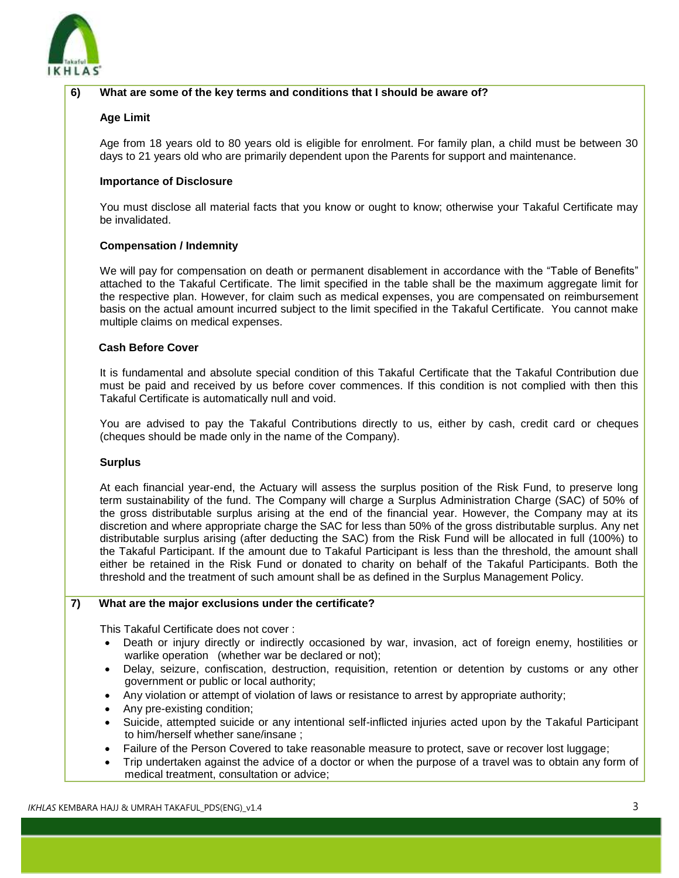

# **6) What are some of the key terms and conditions that I should be aware of?**

# **Age Limit**

Age from 18 years old to 80 years old is eligible for enrolment. For family plan, a child must be between 30 days to 21 years old who are primarily dependent upon the Parents for support and maintenance.

## **Importance of Disclosure**

You must disclose all material facts that you know or ought to know; otherwise your Takaful Certificate may be invalidated.

# **Compensation / Indemnity**

We will pay for compensation on death or permanent disablement in accordance with the "Table of Benefits" attached to the Takaful Certificate. The limit specified in the table shall be the maximum aggregate limit for the respective plan. However, for claim such as medical expenses, you are compensated on reimbursement basis on the actual amount incurred subject to the limit specified in the Takaful Certificate. You cannot make multiple claims on medical expenses.

# **Cash Before Cover**

It is fundamental and absolute special condition of this Takaful Certificate that the Takaful Contribution due must be paid and received by us before cover commences. If this condition is not complied with then this Takaful Certificate is automatically null and void.

You are advised to pay the Takaful Contributions directly to us, either by cash, credit card or cheques (cheques should be made only in the name of the Company).

### **Surplus**

At each financial year-end, the Actuary will assess the surplus position of the Risk Fund, to preserve long term sustainability of the fund. The Company will charge a Surplus Administration Charge (SAC) of 50% of the gross distributable surplus arising at the end of the financial year. However, the Company may at its discretion and where appropriate charge the SAC for less than 50% of the gross distributable surplus. Any net distributable surplus arising (after deducting the SAC) from the Risk Fund will be allocated in full (100%) to the Takaful Participant. If the amount due to Takaful Participant is less than the threshold, the amount shall either be retained in the Risk Fund or donated to charity on behalf of the Takaful Participants. Both the threshold and the treatment of such amount shall be as defined in the Surplus Management Policy.

## **7) What are the major exclusions under the certificate?**

This Takaful Certificate does not cover :

- Death or injury directly or indirectly occasioned by war, invasion, act of foreign enemy, hostilities or warlike operation (whether war be declared or not);
- Delay, seizure, confiscation, destruction, requisition, retention or detention by customs or any other government or public or local authority;
- Any violation or attempt of violation of laws or resistance to arrest by appropriate authority;
- Any pre-existing condition;
- Suicide, attempted suicide or any intentional self-inflicted injuries acted upon by the Takaful Participant to him/herself whether sane/insane ;
- Failure of the Person Covered to take reasonable measure to protect, save or recover lost luggage;
- Trip undertaken against the advice of a doctor or when the purpose of a travel was to obtain any form of medical treatment, consultation or advice;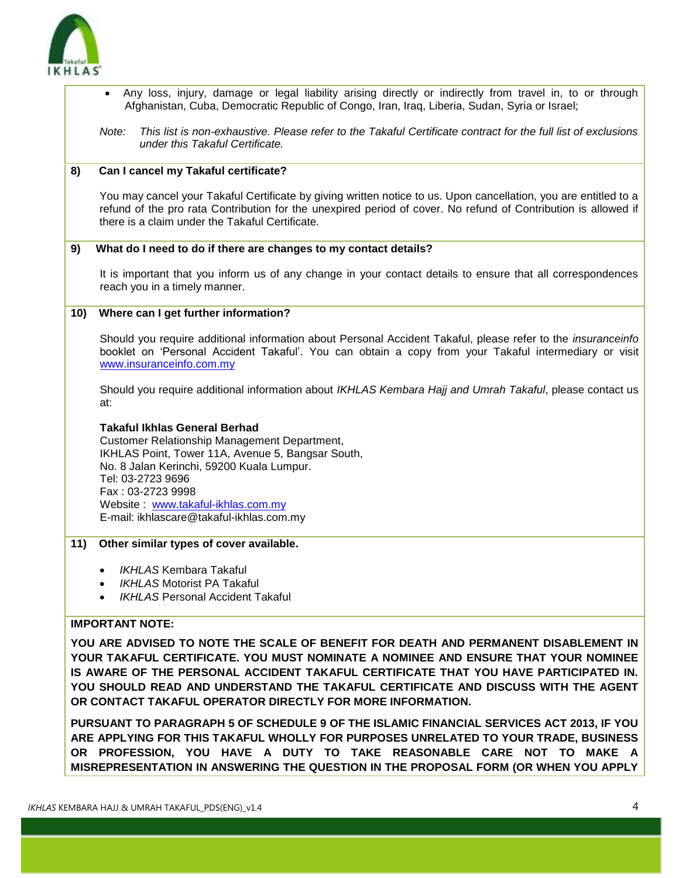

- Any loss, injury, damage or legal liability arising directly or indirectly from travel in, to or through Afghanistan, Cuba, Democratic Republic of Congo, Iran, Iraq, Liberia, Sudan, Syria or Israel;
- *Note: This list is non-exhaustive. Please refer to the Takaful Certificate contract for the full list of exclusions under this Takaful Certificate.*

# **8) Can I cancel my Takaful certificate?**

You may cancel your Takaful Certificate by giving written notice to us. Upon cancellation, you are entitled to a refund of the pro rata Contribution for the unexpired period of cover. No refund of Contribution is allowed if there is a claim under the Takaful Certificate.

#### **9) What do I need to do if there are changes to my contact details?**

It is important that you inform us of any change in your contact details to ensure that all correspondences reach you in a timely manner.

### **10) Where can I get further information?**

Should you require additional information about Personal Accident Takaful, please refer to the *insuranceinfo* booklet on 'Personal Accident Takaful'. You can obtain a copy from your Takaful intermediary or visit [www.insuranceinfo.com.my](http://www.insuranceinfo.com.my/)

Should you require additional information about *IKHLAS Kembara Hajj and Umrah Takaful*, please contact us at:

### **Takaful Ikhlas General Berhad**

Customer Relationship Management Department, IKHLAS Point, Tower 11A, Avenue 5, Bangsar South, No. 8 Jalan Kerinchi, 59200 Kuala Lumpur. Tel: 03-2723 9696 Fax : 03-2723 9998 Website : [www.takaful-ikhlas.com.my](http://www.takaful-ikhlas.com.my/) E-mail: ikhlascare@takaful-ikhlas.com.my

### **11) Other similar types of cover available.**

- *IKHLAS* Kembara Takaful
- *IKHLAS* Motorist PA Takaful
- *IKHLAS* Personal Accident Takaful

# **IMPORTANT NOTE:**

**YOU ARE ADVISED TO NOTE THE SCALE OF BENEFIT FOR DEATH AND PERMANENT DISABLEMENT IN YOUR TAKAFUL CERTIFICATE. YOU MUST NOMINATE A NOMINEE AND ENSURE THAT YOUR NOMINEE IS AWARE OF THE PERSONAL ACCIDENT TAKAFUL CERTIFICATE THAT YOU HAVE PARTICIPATED IN. YOU SHOULD READ AND UNDERSTAND THE TAKAFUL CERTIFICATE AND DISCUSS WITH THE AGENT OR CONTACT TAKAFUL OPERATOR DIRECTLY FOR MORE INFORMATION.**

**PURSUANT TO PARAGRAPH 5 OF SCHEDULE 9 OF THE ISLAMIC FINANCIAL SERVICES ACT 2013, IF YOU ARE APPLYING FOR THIS TAKAFUL WHOLLY FOR PURPOSES UNRELATED TO YOUR TRADE, BUSINESS OR PROFESSION, YOU HAVE A DUTY TO TAKE REASONABLE CARE NOT TO MAKE A MISREPRESENTATION IN ANSWERING THE QUESTION IN THE PROPOSAL FORM (OR WHEN YOU APPLY**